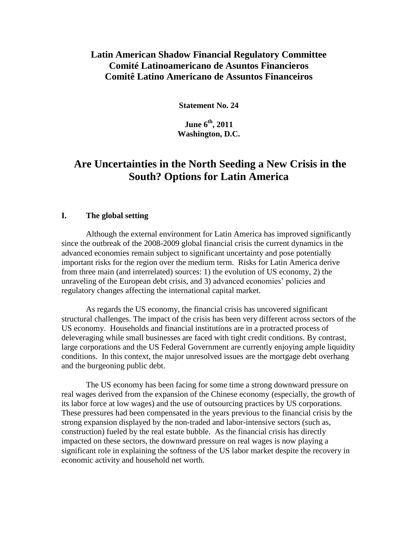# **Latin American Shadow Financial Regulatory Committee Comité Latinoamericano de Asuntos Financieros Comitê Latino Americano de Assuntos Financeiros**

**Statement No. 24**

**June 6 th, 2011 Washington, D.C.**

# **Are Uncertainties in the North Seeding a New Crisis in the South? Options for Latin America**

#### **I. The global setting**

Although the external environment for Latin America has improved significantly since the outbreak of the 2008-2009 global financial crisis the current dynamics in the advanced economies remain subject to significant uncertainty and pose potentially important risks for the region over the medium term. Risks for Latin America derive from three main (and interrelated) sources: 1) the evolution of US economy, 2) the unraveling of the European debt crisis, and 3) advanced economies' policies and regulatory changes affecting the international capital market.

As regards the US economy, the financial crisis has uncovered significant structural challenges. The impact of the crisis has been very different across sectors of the US economy. Households and financial institutions are in a protracted process of deleveraging while small businesses are faced with tight credit conditions. By contrast, large corporations and the US Federal Government are currently enjoying ample liquidity conditions. In this context, the major unresolved issues are the mortgage debt overhang and the burgeoning public debt.

The US economy has been facing for some time a strong downward pressure on real wages derived from the expansion of the Chinese economy (especially, the growth of its labor force at low wages) and the use of outsourcing practices by US corporations. These pressures had been compensated in the years previous to the financial crisis by the strong expansion displayed by the non-traded and labor-intensive sectors (such as, construction) fueled by the real estate bubble. As the financial crisis has directly impacted on these sectors, the downward pressure on real wages is now playing a significant role in explaining the softness of the US labor market despite the recovery in economic activity and household net worth.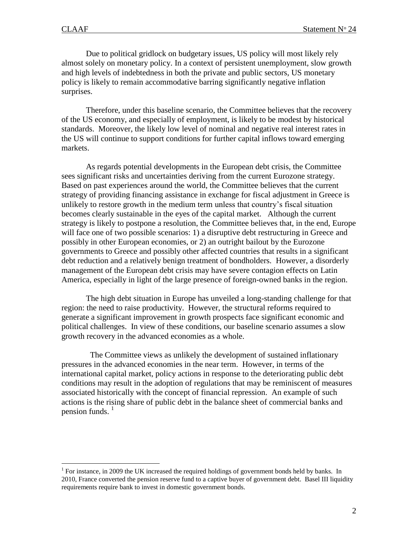$\overline{a}$ 

Due to political gridlock on budgetary issues, US policy will most likely rely almost solely on monetary policy. In a context of persistent unemployment, slow growth and high levels of indebtedness in both the private and public sectors, US monetary policy is likely to remain accommodative barring significantly negative inflation surprises.

Therefore, under this baseline scenario, the Committee believes that the recovery of the US economy, and especially of employment, is likely to be modest by historical standards. Moreover, the likely low level of nominal and negative real interest rates in the US will continue to support conditions for further capital inflows toward emerging markets.

As regards potential developments in the European debt crisis, the Committee sees significant risks and uncertainties deriving from the current Eurozone strategy. Based on past experiences around the world, the Committee believes that the current strategy of providing financing assistance in exchange for fiscal adjustment in Greece is unlikely to restore growth in the medium term unless that country's fiscal situation becomes clearly sustainable in the eyes of the capital market. Although the current strategy is likely to postpone a resolution, the Committee believes that, in the end, Europe will face one of two possible scenarios: 1) a disruptive debt restructuring in Greece and possibly in other European economies, or 2) an outright bailout by the Eurozone governments to Greece and possibly other affected countries that results in a significant debt reduction and a relatively benign treatment of bondholders. However, a disorderly management of the European debt crisis may have severe contagion effects on Latin America, especially in light of the large presence of foreign-owned banks in the region.

The high debt situation in Europe has unveiled a long-standing challenge for that region: the need to raise productivity. However, the structural reforms required to generate a significant improvement in growth prospects face significant economic and political challenges. In view of these conditions, our baseline scenario assumes a slow growth recovery in the advanced economies as a whole.

 The Committee views as unlikely the development of sustained inflationary pressures in the advanced economies in the near term. However, in terms of the international capital market, policy actions in response to the deteriorating public debt conditions may result in the adoption of regulations that may be reminiscent of measures associated historically with the concept of financial repression. An example of such actions is the rising share of public debt in the balance sheet of commercial banks and pension funds.  $<sup>1</sup>$ </sup>

<sup>&</sup>lt;sup>1</sup> For instance, in 2009 the UK increased the required holdings of government bonds held by banks. In 2010, France converted the pension reserve fund to a captive buyer of government debt. Basel III liquidity requirements require bank to invest in domestic government bonds.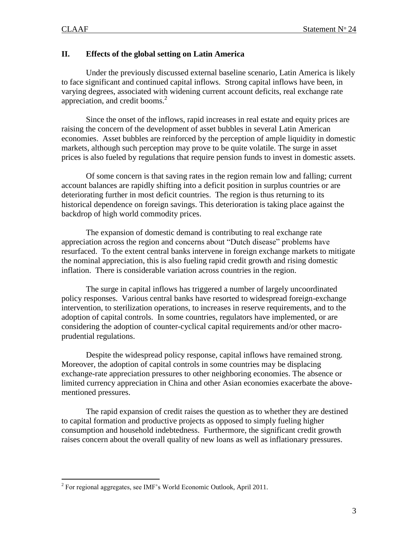$\overline{a}$ 

## **II. Effects of the global setting on Latin America**

Under the previously discussed external baseline scenario, Latin America is likely to face significant and continued capital inflows. Strong capital inflows have been, in varying degrees, associated with widening current account deficits, real exchange rate appreciation, and credit booms. $<sup>2</sup>$ </sup>

Since the onset of the inflows, rapid increases in real estate and equity prices are raising the concern of the development of asset bubbles in several Latin American economies. Asset bubbles are reinforced by the perception of ample liquidity in domestic markets, although such perception may prove to be quite volatile. The surge in asset prices is also fueled by regulations that require pension funds to invest in domestic assets.

Of some concern is that saving rates in the region remain low and falling; current account balances are rapidly shifting into a deficit position in surplus countries or are deteriorating further in most deficit countries. The region is thus returning to its historical dependence on foreign savings. This deterioration is taking place against the backdrop of high world commodity prices.

The expansion of domestic demand is contributing to real exchange rate appreciation across the region and concerns about "Dutch disease" problems have resurfaced. To the extent central banks intervene in foreign exchange markets to mitigate the nominal appreciation, this is also fueling rapid credit growth and rising domestic inflation. There is considerable variation across countries in the region.

The surge in capital inflows has triggered a number of largely uncoordinated policy responses. Various central banks have resorted to widespread foreign-exchange intervention, to sterilization operations, to increases in reserve requirements, and to the adoption of capital controls. In some countries, regulators have implemented, or are considering the adoption of counter-cyclical capital requirements and/or other macroprudential regulations.

Despite the widespread policy response, capital inflows have remained strong. Moreover, the adoption of capital controls in some countries may be displacing exchange-rate appreciation pressures to other neighboring economies. The absence or limited currency appreciation in China and other Asian economies exacerbate the abovementioned pressures.

The rapid expansion of credit raises the question as to whether they are destined to capital formation and productive projects as opposed to simply fueling higher consumption and household indebtedness. Furthermore, the significant credit growth raises concern about the overall quality of new loans as well as inflationary pressures.

 $2^2$  For regional aggregates, see IMF's World Economic Outlook, April 2011.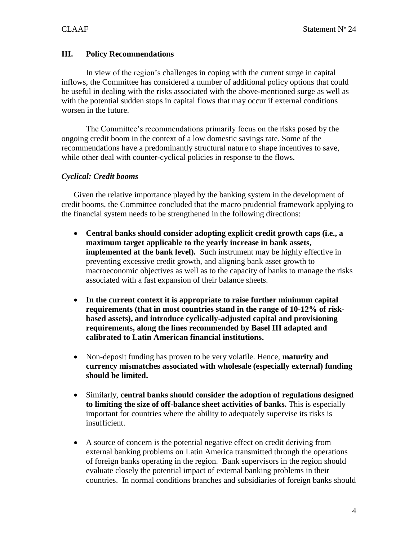## **III. Policy Recommendations**

In view of the region's challenges in coping with the current surge in capital inflows, the Committee has considered a number of additional policy options that could be useful in dealing with the risks associated with the above-mentioned surge as well as with the potential sudden stops in capital flows that may occur if external conditions worsen in the future.

The Committee's recommendations primarily focus on the risks posed by the ongoing credit boom in the context of a low domestic savings rate. Some of the recommendations have a predominantly structural nature to shape incentives to save, while other deal with counter-cyclical policies in response to the flows.

### *Cyclical: Credit booms*

Given the relative importance played by the banking system in the development of credit booms, the Committee concluded that the macro prudential framework applying to the financial system needs to be strengthened in the following directions:

- **Central banks should consider adopting explicit credit growth caps (i.e., a maximum target applicable to the yearly increase in bank assets, implemented at the bank level).** Such instrument may be highly effective in preventing excessive credit growth, and aligning bank asset growth to macroeconomic objectives as well as to the capacity of banks to manage the risks associated with a fast expansion of their balance sheets.
- **In the current context it is appropriate to raise further minimum capital requirements (that in most countries stand in the range of 10-12% of riskbased assets), and introduce cyclically-adjusted capital and provisioning requirements, along the lines recommended by Basel III adapted and calibrated to Latin American financial institutions.**
- Non-deposit funding has proven to be very volatile. Hence, **maturity and currency mismatches associated with wholesale (especially external) funding should be limited.**
- Similarly, **central banks should consider the adoption of regulations designed to limiting the size of off-balance sheet activities of banks.** This is especially important for countries where the ability to adequately supervise its risks is insufficient.
- A source of concern is the potential negative effect on credit deriving from external banking problems on Latin America transmitted through the operations of foreign banks operating in the region. Bank supervisors in the region should evaluate closely the potential impact of external banking problems in their countries. In normal conditions branches and subsidiaries of foreign banks should